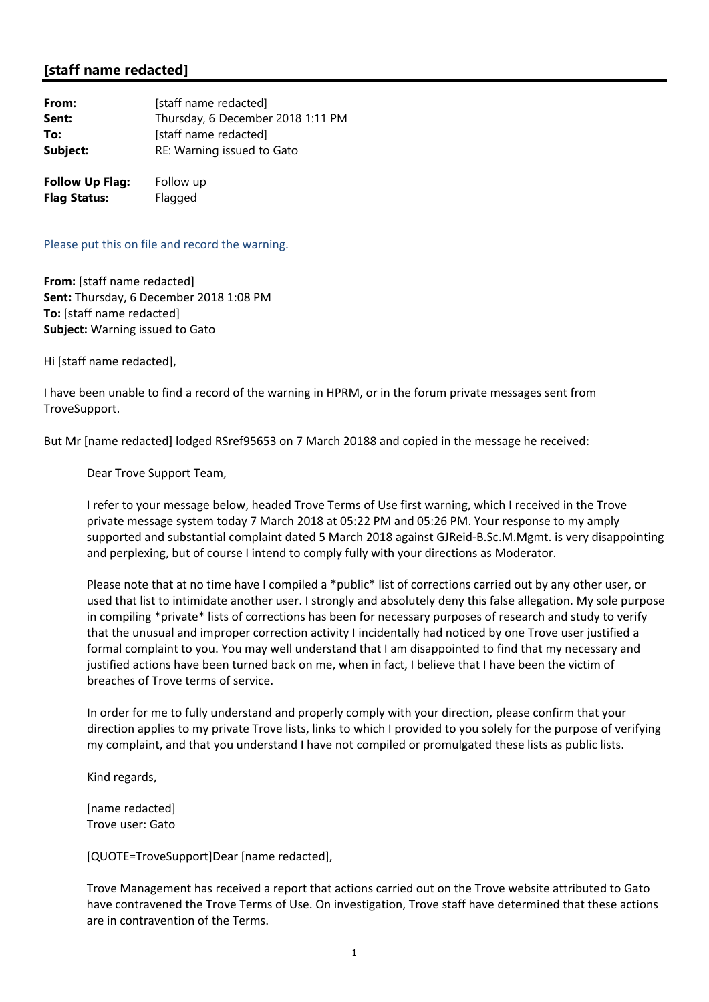## **[staff name redacted]**

| From:                  | [staff name redacted]             |
|------------------------|-----------------------------------|
| Sent:                  | Thursday, 6 December 2018 1:11 PM |
| To:                    | [staff name redacted]             |
| Subject:               | RE: Warning issued to Gato        |
| <b>Follow Up Flag:</b> | Follow up                         |
| <b>Flag Status:</b>    | Flagged                           |

Please put this on file and record the warning.

**From:** [staff name redacted] **Sent:** Thursday, 6 December 2018 1:08 PM **To:** [staff name redacted] **Subject:** Warning issued to Gato

Hi [staff name redacted],

I have been unable to find a record of the warning in HPRM, or in the forum private messages sent from TroveSupport.

But Mr [name redacted] lodged RSref95653 on 7 March 20188 and copied in the message he received:

Dear Trove Support Team,

I refer to your message below, headed Trove Terms of Use first warning, which I received in the Trove private message system today 7 March 2018 at 05:22 PM and 05:26 PM. Your response to my amply supported and substantial complaint dated 5 March 2018 against GJReid‐B.Sc.M.Mgmt. is very disappointing and perplexing, but of course I intend to comply fully with your directions as Moderator.

Please note that at no time have I compiled a \*public\* list of corrections carried out by any other user, or used that list to intimidate another user. I strongly and absolutely deny this false allegation. My sole purpose in compiling \*private\* lists of corrections has been for necessary purposes of research and study to verify that the unusual and improper correction activity I incidentally had noticed by one Trove user justified a formal complaint to you. You may well understand that I am disappointed to find that my necessary and justified actions have been turned back on me, when in fact, I believe that I have been the victim of breaches of Trove terms of service.

In order for me to fully understand and properly comply with your direction, please confirm that your direction applies to my private Trove lists, links to which I provided to you solely for the purpose of verifying my complaint, and that you understand I have not compiled or promulgated these lists as public lists.

Kind regards,

[name redacted] Trove user: Gato

[QUOTE=TroveSupport]Dear [name redacted],

Trove Management has received a report that actions carried out on the Trove website attributed to Gato have contravened the Trove Terms of Use. On investigation, Trove staff have determined that these actions are in contravention of the Terms.